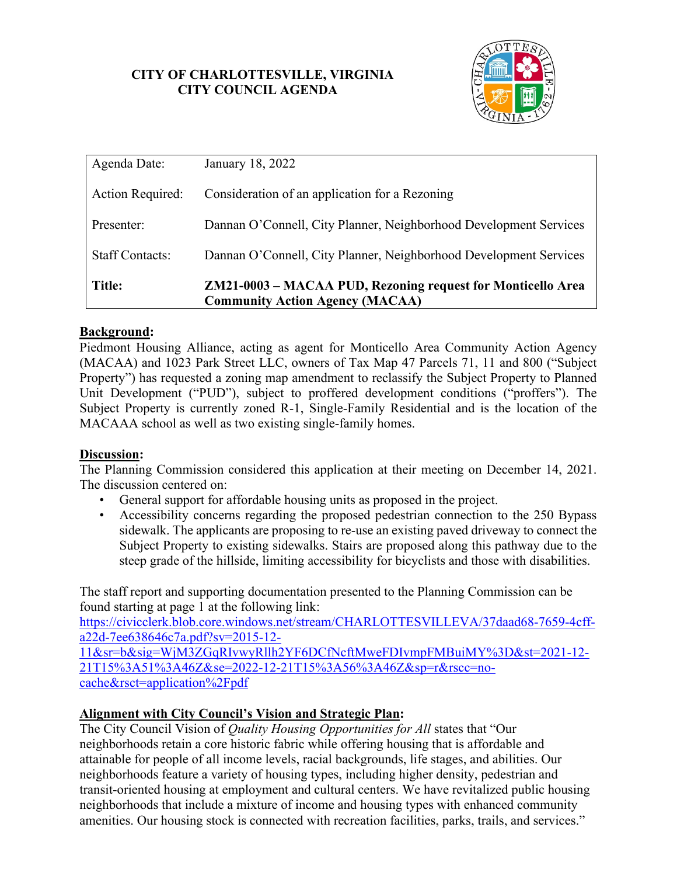## **CITY OF CHARLOTTESVILLE, VIRGINIA CITY COUNCIL AGENDA**



| Agenda Date:            | January 18, 2022                                                                                      |
|-------------------------|-------------------------------------------------------------------------------------------------------|
| <b>Action Required:</b> | Consideration of an application for a Rezoning                                                        |
| Presenter:              | Dannan O'Connell, City Planner, Neighborhood Development Services                                     |
| <b>Staff Contacts:</b>  | Dannan O'Connell, City Planner, Neighborhood Development Services                                     |
| <b>Title:</b>           | ZM21-0003 - MACAA PUD, Rezoning request for Monticello Area<br><b>Community Action Agency (MACAA)</b> |

# **Background:**

Piedmont Housing Alliance, acting as agent for Monticello Area Community Action Agency (MACAA) and 1023 Park Street LLC, owners of Tax Map 47 Parcels 71, 11 and 800 ("Subject Property") has requested a zoning map amendment to reclassify the Subject Property to Planned Unit Development ("PUD"), subject to proffered development conditions ("proffers"). The Subject Property is currently zoned R-1, Single-Family Residential and is the location of the MACAAA school as well as two existing single-family homes.

### **Discussion:**

The Planning Commission considered this application at their meeting on December 14, 2021. The discussion centered on:

- General support for affordable housing units as proposed in the project.
- Accessibility concerns regarding the proposed pedestrian connection to the 250 Bypass sidewalk. The applicants are proposing to re-use an existing paved driveway to connect the Subject Property to existing sidewalks. Stairs are proposed along this pathway due to the steep grade of the hillside, limiting accessibility for bicyclists and those with disabilities.

The staff report and supporting documentation presented to the Planning Commission can be found starting at page 1 at the following link:

[https://civicclerk.blob.core.windows.net/stream/CHARLOTTESVILLEVA/37daad68-7659-4cff](https://civicclerk.blob.core.windows.net/stream/CHARLOTTESVILLEVA/37daad68-7659-4cff-a22d-7ee638646c7a.pdf?sv=2015-12-11&sr=b&sig=WjM3ZGqRIvwyRllh2YF6DCfNcftMweFDIvmpFMBuiMY%3D&st=2021-12-21T15%3A51%3A46Z&se=2022-12-21T15%3A56%3A46Z&sp=r&rscc=no-cache&rsct=application%2Fpdf)[a22d-7ee638646c7a.pdf?sv=2015-12-](https://civicclerk.blob.core.windows.net/stream/CHARLOTTESVILLEVA/37daad68-7659-4cff-a22d-7ee638646c7a.pdf?sv=2015-12-11&sr=b&sig=WjM3ZGqRIvwyRllh2YF6DCfNcftMweFDIvmpFMBuiMY%3D&st=2021-12-21T15%3A51%3A46Z&se=2022-12-21T15%3A56%3A46Z&sp=r&rscc=no-cache&rsct=application%2Fpdf)

[11&sr=b&sig=WjM3ZGqRIvwyRllh2YF6DCfNcftMweFDIvmpFMBuiMY%3D&st=2021-12-](https://civicclerk.blob.core.windows.net/stream/CHARLOTTESVILLEVA/37daad68-7659-4cff-a22d-7ee638646c7a.pdf?sv=2015-12-11&sr=b&sig=WjM3ZGqRIvwyRllh2YF6DCfNcftMweFDIvmpFMBuiMY%3D&st=2021-12-21T15%3A51%3A46Z&se=2022-12-21T15%3A56%3A46Z&sp=r&rscc=no-cache&rsct=application%2Fpdf) [21T15%3A51%3A46Z&se=2022-12-21T15%3A56%3A46Z&sp=r&rscc=no](https://civicclerk.blob.core.windows.net/stream/CHARLOTTESVILLEVA/37daad68-7659-4cff-a22d-7ee638646c7a.pdf?sv=2015-12-11&sr=b&sig=WjM3ZGqRIvwyRllh2YF6DCfNcftMweFDIvmpFMBuiMY%3D&st=2021-12-21T15%3A51%3A46Z&se=2022-12-21T15%3A56%3A46Z&sp=r&rscc=no-cache&rsct=application%2Fpdf)[cache&rsct=application%2Fpdf](https://civicclerk.blob.core.windows.net/stream/CHARLOTTESVILLEVA/37daad68-7659-4cff-a22d-7ee638646c7a.pdf?sv=2015-12-11&sr=b&sig=WjM3ZGqRIvwyRllh2YF6DCfNcftMweFDIvmpFMBuiMY%3D&st=2021-12-21T15%3A51%3A46Z&se=2022-12-21T15%3A56%3A46Z&sp=r&rscc=no-cache&rsct=application%2Fpdf) 

### **Alignment with City Council's Vision and Strategic Plan:**

The City Council Vision of *Quality Housing Opportunities for All* states that "Our neighborhoods retain a core historic fabric while offering housing that is affordable and attainable for people of all income levels, racial backgrounds, life stages, and abilities. Our neighborhoods feature a variety of housing types, including higher density, pedestrian and transit-oriented housing at employment and cultural centers. We have revitalized public housing neighborhoods that include a mixture of income and housing types with enhanced community amenities. Our housing stock is connected with recreation facilities, parks, trails, and services."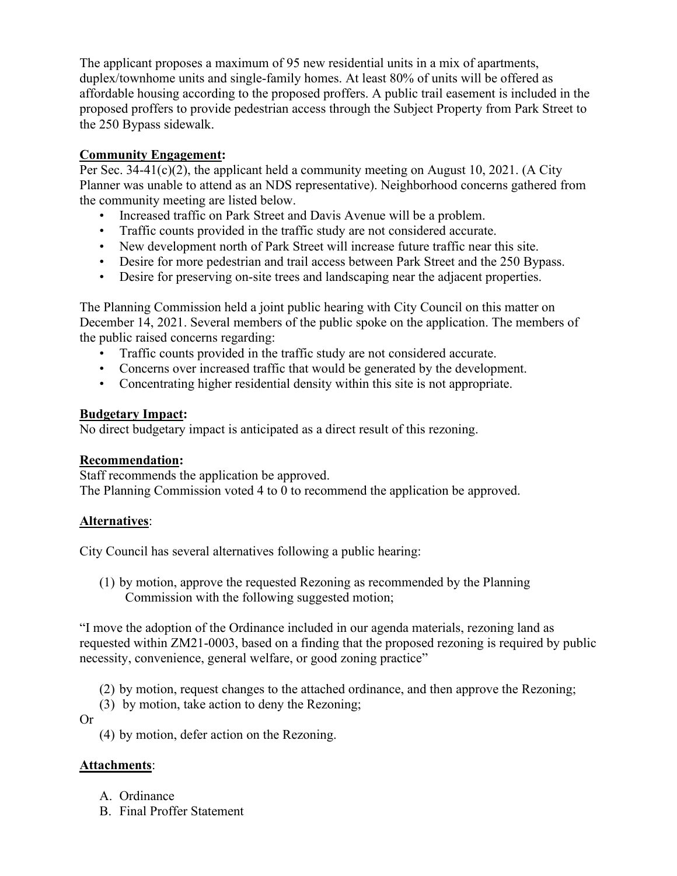The applicant proposes a maximum of 95 new residential units in a mix of apartments, duplex/townhome units and single-family homes. At least 80% of units will be offered as affordable housing according to the proposed proffers. A public trail easement is included in the proposed proffers to provide pedestrian access through the Subject Property from Park Street to the 250 Bypass sidewalk.

# **Community Engagement:**

Per Sec. 34-41(c)(2), the applicant held a community meeting on August 10, 2021. (A City Planner was unable to attend as an NDS representative). Neighborhood concerns gathered from the community meeting are listed below.

- Increased traffic on Park Street and Davis Avenue will be a problem.
- Traffic counts provided in the traffic study are not considered accurate.
- New development north of Park Street will increase future traffic near this site.
- Desire for more pedestrian and trail access between Park Street and the 250 Bypass.
- Desire for preserving on-site trees and landscaping near the adjacent properties.

The Planning Commission held a joint public hearing with City Council on this matter on December 14, 2021. Several members of the public spoke on the application. The members of the public raised concerns regarding:

- Traffic counts provided in the traffic study are not considered accurate.
- Concerns over increased traffic that would be generated by the development.
- Concentrating higher residential density within this site is not appropriate.

### **Budgetary Impact:**

No direct budgetary impact is anticipated as a direct result of this rezoning.

### **Recommendation:**

Staff recommends the application be approved. The Planning Commission voted 4 to 0 to recommend the application be approved.

# **Alternatives**:

City Council has several alternatives following a public hearing:

(1) by motion, approve the requested Rezoning as recommended by the Planning Commission with the following suggested motion;

"I move the adoption of the Ordinance included in our agenda materials, rezoning land as requested within ZM21-0003, based on a finding that the proposed rezoning is required by public necessity, convenience, general welfare, or good zoning practice"

- (2) by motion, request changes to the attached ordinance, and then approve the Rezoning;
- (3) by motion, take action to deny the Rezoning;

Or

(4) by motion, defer action on the Rezoning.

# **Attachments**:

- A. Ordinance
- B. Final Proffer Statement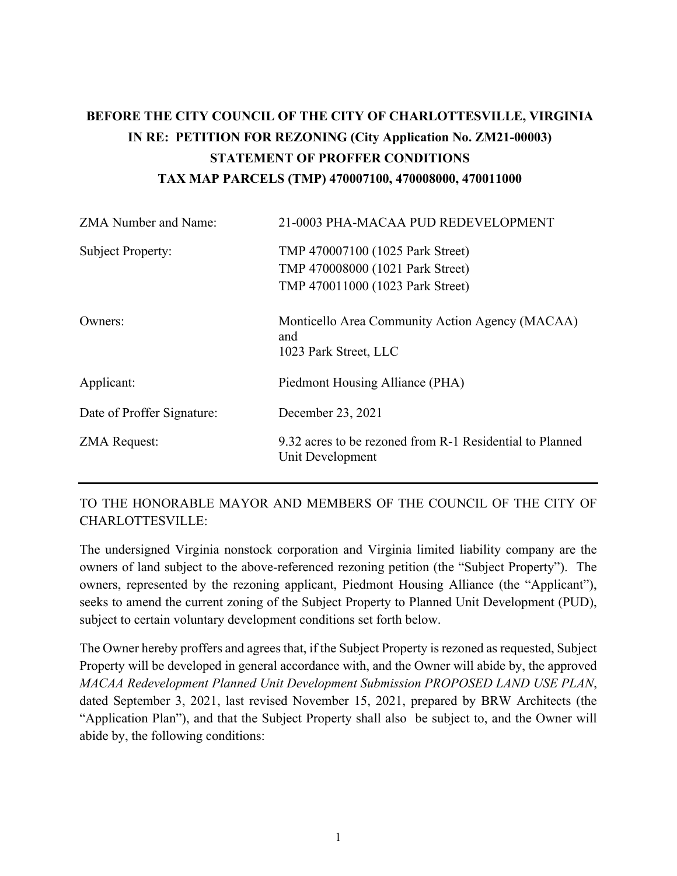# **BEFORE THE CITY COUNCIL OF THE CITY OF CHARLOTTESVILLE, VIRGINIA IN RE: PETITION FOR REZONING (City Application No. ZM21-00003) STATEMENT OF PROFFER CONDITIONS TAX MAP PARCELS (TMP) 470007100, 470008000, 470011000**

| <b>ZMA Number and Name:</b> | 21-0003 PHA-MACAA PUD REDEVELOPMENT                                                                      |
|-----------------------------|----------------------------------------------------------------------------------------------------------|
| Subject Property:           | TMP 470007100 (1025 Park Street)<br>TMP 470008000 (1021 Park Street)<br>TMP 470011000 (1023 Park Street) |
| Owners:                     | Monticello Area Community Action Agency (MACAA)<br>and<br>1023 Park Street, LLC                          |
| Applicant:                  | Piedmont Housing Alliance (PHA)                                                                          |
| Date of Proffer Signature:  | December 23, 2021                                                                                        |
| <b>ZMA Request:</b>         | 9.32 acres to be rezoned from R-1 Residential to Planned<br>Unit Development                             |

TO THE HONORABLE MAYOR AND MEMBERS OF THE COUNCIL OF THE CITY OF CHARLOTTESVILLE:

The undersigned Virginia nonstock corporation and Virginia limited liability company are the owners of land subject to the above-referenced rezoning petition (the "Subject Property"). The owners, represented by the rezoning applicant, Piedmont Housing Alliance (the "Applicant"), seeks to amend the current zoning of the Subject Property to Planned Unit Development (PUD), subject to certain voluntary development conditions set forth below.

The Owner hereby proffers and agrees that, if the Subject Property is rezoned as requested, Subject Property will be developed in general accordance with, and the Owner will abide by, the approved *MACAA Redevelopment Planned Unit Development Submission PROPOSED LAND USE PLAN*, dated September 3, 2021, last revised November 15, 2021, prepared by BRW Architects (the "Application Plan"), and that the Subject Property shall also be subject to, and the Owner will abide by, the following conditions: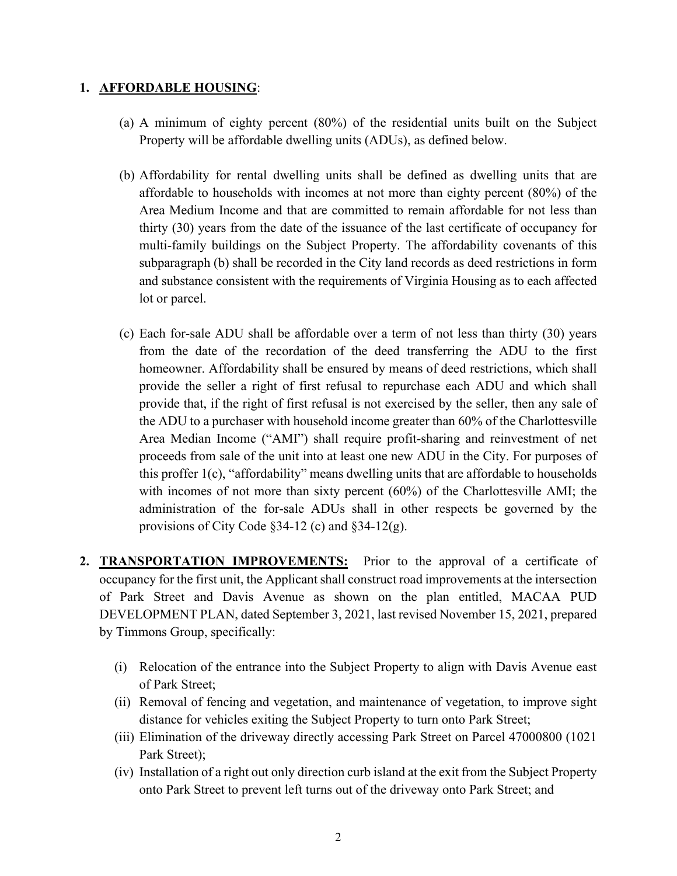#### **1. AFFORDABLE HOUSING**:

- (a) A minimum of eighty percent (80%) of the residential units built on the Subject Property will be affordable dwelling units (ADUs), as defined below.
- (b) Affordability for rental dwelling units shall be defined as dwelling units that are affordable to households with incomes at not more than eighty percent (80%) of the Area Medium Income and that are committed to remain affordable for not less than thirty (30) years from the date of the issuance of the last certificate of occupancy for multi-family buildings on the Subject Property. The affordability covenants of this subparagraph (b) shall be recorded in the City land records as deed restrictions in form and substance consistent with the requirements of Virginia Housing as to each affected lot or parcel.
- (c) Each for-sale ADU shall be affordable over a term of not less than thirty (30) years from the date of the recordation of the deed transferring the ADU to the first homeowner. Affordability shall be ensured by means of deed restrictions, which shall provide the seller a right of first refusal to repurchase each ADU and which shall provide that, if the right of first refusal is not exercised by the seller, then any sale of the ADU to a purchaser with household income greater than 60% of the Charlottesville Area Median Income ("AMI") shall require profit-sharing and reinvestment of net proceeds from sale of the unit into at least one new ADU in the City. For purposes of this proffer 1(c), "affordability" means dwelling units that are affordable to households with incomes of not more than sixty percent (60%) of the Charlottesville AMI; the administration of the for-sale ADUs shall in other respects be governed by the provisions of City Code §34-12 (c) and §34-12(g).
- **2. TRANSPORTATION IMPROVEMENTS:** Prior to the approval of a certificate of occupancy for the first unit, the Applicant shall construct road improvements at the intersection of Park Street and Davis Avenue as shown on the plan entitled, MACAA PUD DEVELOPMENT PLAN, dated September 3, 2021, last revised November 15, 2021, prepared by Timmons Group, specifically:
	- (i) Relocation of the entrance into the Subject Property to align with Davis Avenue east of Park Street;
	- (ii) Removal of fencing and vegetation, and maintenance of vegetation, to improve sight distance for vehicles exiting the Subject Property to turn onto Park Street;
	- (iii) Elimination of the driveway directly accessing Park Street on Parcel 47000800 (1021 Park Street);
	- (iv) Installation of a right out only direction curb island at the exit from the Subject Property onto Park Street to prevent left turns out of the driveway onto Park Street; and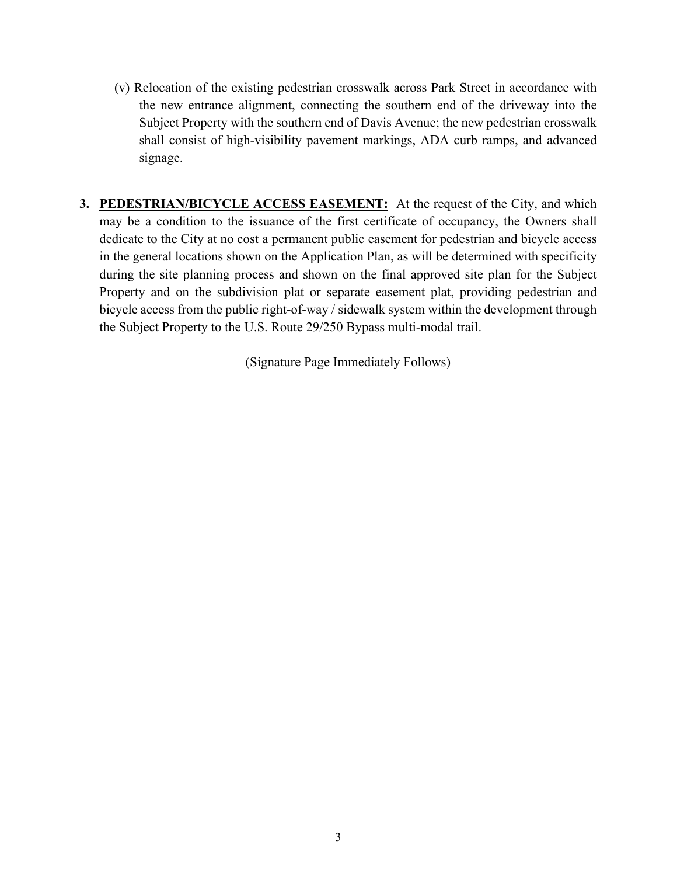- (v) Relocation of the existing pedestrian crosswalk across Park Street in accordance with the new entrance alignment, connecting the southern end of the driveway into the Subject Property with the southern end of Davis Avenue; the new pedestrian crosswalk shall consist of high-visibility pavement markings, ADA curb ramps, and advanced signage.
- **3. PEDESTRIAN/BICYCLE ACCESS EASEMENT:** At the request of the City, and which may be a condition to the issuance of the first certificate of occupancy, the Owners shall dedicate to the City at no cost a permanent public easement for pedestrian and bicycle access in the general locations shown on the Application Plan, as will be determined with specificity during the site planning process and shown on the final approved site plan for the Subject Property and on the subdivision plat or separate easement plat, providing pedestrian and bicycle access from the public right-of-way / sidewalk system within the development through the Subject Property to the U.S. Route 29/250 Bypass multi-modal trail.

(Signature Page Immediately Follows)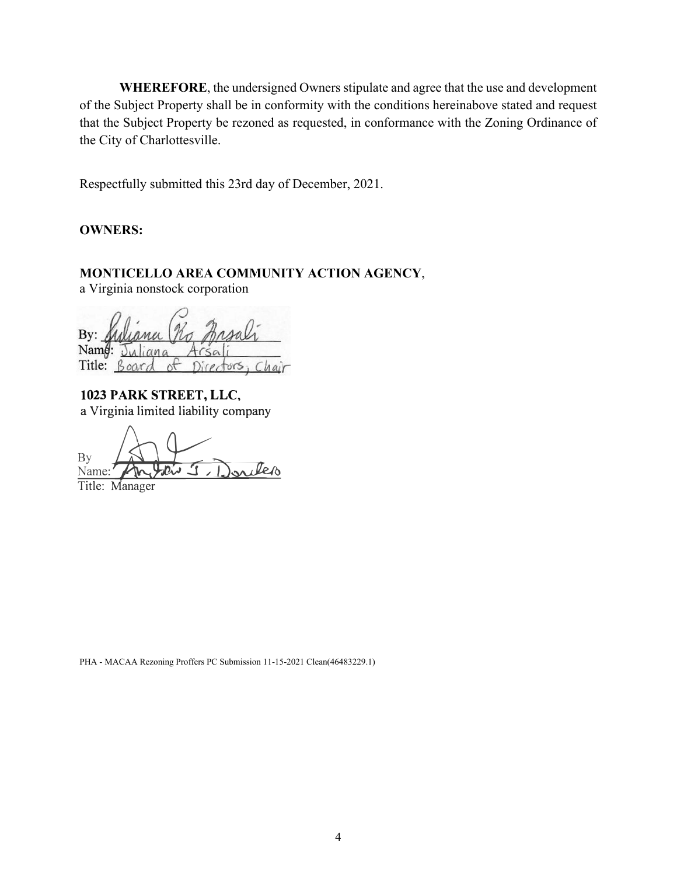**WHEREFORE**, the undersigned Owners stipulate and agree that the use and development of the Subject Property shall be in conformity with the conditions hereinabove stated and request that the Subject Property be rezoned as requested, in conformance with the Zoning Ordinance of the City of Charlottesville.

Respectfully submitted this 23rd day of December, 2021.

#### **OWNERS:**

# **MONTICELLO AREA COMMUNITY ACTION AGENCY**,

a Virginia nonstock corporation

By: Name:  $J_{1A}$  $ana$ Title: Board Directors, Cha ot

**1023 PARK STREET, LLC,** a Virginia limited liability company

By<br><u>Name</u>: An Islan J **Antoin J. Donder** 

Title: Manager

PHA - MACAA Rezoning Proffers PC Submission 11-15-2021 Clean(46483229.1)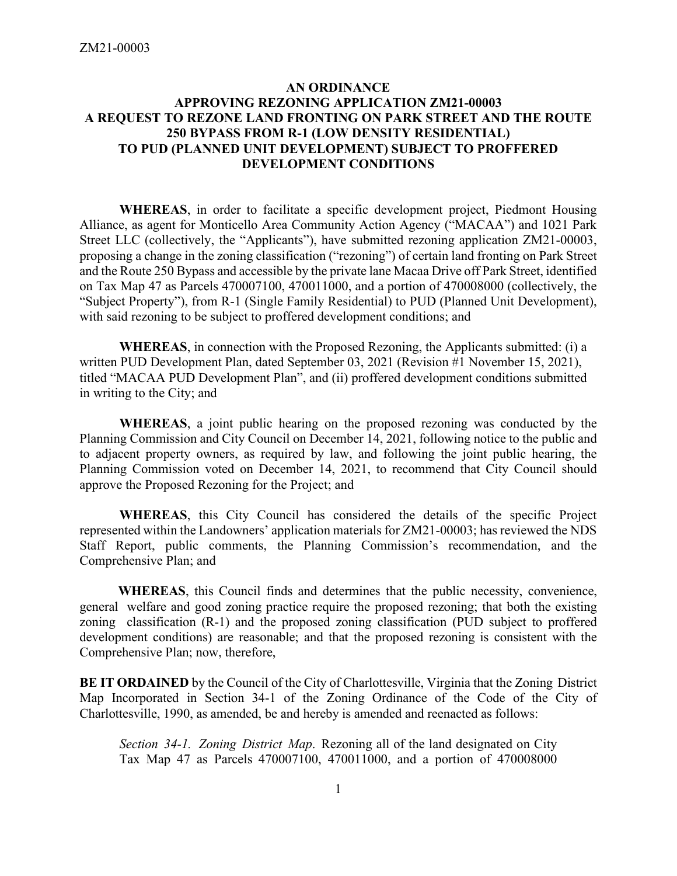### **AN ORDINANCE APPROVING REZONING APPLICATION ZM21-00003 A REQUEST TO REZONE LAND FRONTING ON PARK STREET AND THE ROUTE 250 BYPASS FROM R-1 (LOW DENSITY RESIDENTIAL) TO PUD (PLANNED UNIT DEVELOPMENT) SUBJECT TO PROFFERED DEVELOPMENT CONDITIONS**

**WHEREAS**, in order to facilitate a specific development project, Piedmont Housing Alliance, as agent for Monticello Area Community Action Agency ("MACAA") and 1021 Park Street LLC (collectively, the "Applicants"), have submitted rezoning application ZM21-00003, proposing a change in the zoning classification ("rezoning") of certain land fronting on Park Street and the Route 250 Bypass and accessible by the private lane Macaa Drive off Park Street, identified on Tax Map 47 as Parcels 470007100, 470011000, and a portion of 470008000 (collectively, the "Subject Property"), from R-1 (Single Family Residential) to PUD (Planned Unit Development), with said rezoning to be subject to proffered development conditions; and

**WHEREAS**, in connection with the Proposed Rezoning, the Applicants submitted: (i) a written PUD Development Plan, dated September 03, 2021 (Revision #1 November 15, 2021), titled "MACAA PUD Development Plan", and (ii) proffered development conditions submitted in writing to the City; and

**WHEREAS**, a joint public hearing on the proposed rezoning was conducted by the Planning Commission and City Council on December 14, 2021, following notice to the public and to adjacent property owners, as required by law, and following the joint public hearing, the Planning Commission voted on December 14, 2021, to recommend that City Council should approve the Proposed Rezoning for the Project; and

**WHEREAS**, this City Council has considered the details of the specific Project represented within the Landowners' application materials for ZM21-00003; has reviewed the NDS Staff Report, public comments, the Planning Commission's recommendation, and the Comprehensive Plan; and

**WHEREAS**, this Council finds and determines that the public necessity, convenience, general welfare and good zoning practice require the proposed rezoning; that both the existing zoning classification (R-1) and the proposed zoning classification (PUD subject to proffered development conditions) are reasonable; and that the proposed rezoning is consistent with the Comprehensive Plan; now, therefore,

**BE IT ORDAINED** by the Council of the City of Charlottesville, Virginia that the Zoning District Map Incorporated in Section 34-1 of the Zoning Ordinance of the Code of the City of Charlottesville, 1990, as amended, be and hereby is amended and reenacted as follows:

*Section 34-1. Zoning District Map*. Rezoning all of the land designated on City Tax Map 47 as Parcels 470007100, 470011000, and a portion of 470008000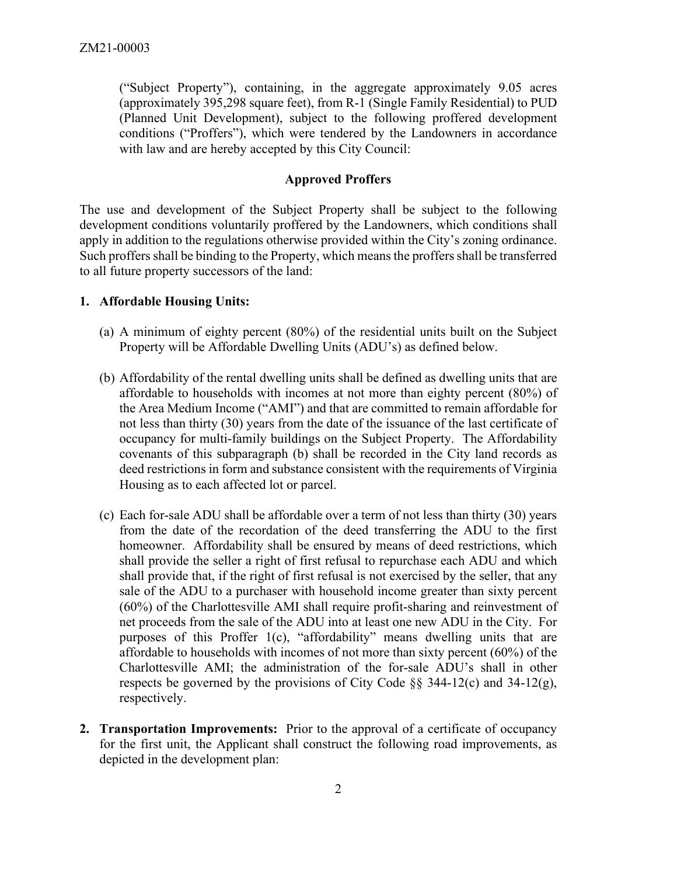("Subject Property"), containing, in the aggregate approximately 9.05 acres (approximately 395,298 square feet), from R-1 (Single Family Residential) to PUD (Planned Unit Development), subject to the following proffered development conditions ("Proffers"), which were tendered by the Landowners in accordance with law and are hereby accepted by this City Council:

#### **Approved Proffers**

The use and development of the Subject Property shall be subject to the following development conditions voluntarily proffered by the Landowners, which conditions shall apply in addition to the regulations otherwise provided within the City's zoning ordinance. Such proffers shall be binding to the Property, which means the proffers shall be transferred to all future property successors of the land:

#### **1. Affordable Housing Units:**

- (a) A minimum of eighty percent (80%) of the residential units built on the Subject Property will be Affordable Dwelling Units (ADU's) as defined below.
- (b) Affordability of the rental dwelling units shall be defined as dwelling units that are affordable to households with incomes at not more than eighty percent (80%) of the Area Medium Income ("AMI") and that are committed to remain affordable for not less than thirty (30) years from the date of the issuance of the last certificate of occupancy for multi-family buildings on the Subject Property. The Affordability covenants of this subparagraph (b) shall be recorded in the City land records as deed restrictions in form and substance consistent with the requirements of Virginia Housing as to each affected lot or parcel.
- (c) Each for-sale ADU shall be affordable over a term of not less than thirty (30) years from the date of the recordation of the deed transferring the ADU to the first homeowner. Affordability shall be ensured by means of deed restrictions, which shall provide the seller a right of first refusal to repurchase each ADU and which shall provide that, if the right of first refusal is not exercised by the seller, that any sale of the ADU to a purchaser with household income greater than sixty percent (60%) of the Charlottesville AMI shall require profit-sharing and reinvestment of net proceeds from the sale of the ADU into at least one new ADU in the City. For purposes of this Proffer 1(c), "affordability" means dwelling units that are affordable to households with incomes of not more than sixty percent (60%) of the Charlottesville AMI; the administration of the for-sale ADU's shall in other respects be governed by the provisions of City Code  $\S$ § 344-12(c) and 34-12(g), respectively.
- **2. Transportation Improvements:** Prior to the approval of a certificate of occupancy for the first unit, the Applicant shall construct the following road improvements, as depicted in the development plan: